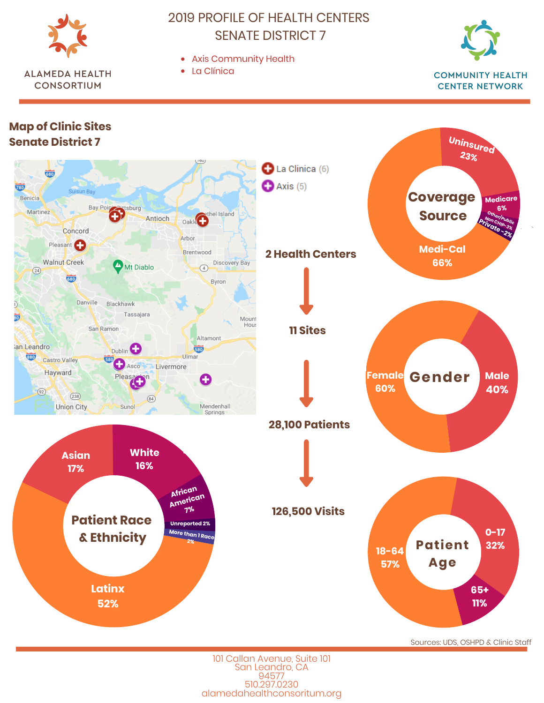

**ALAMEDA HEALTH** 

**CONSORTIUM** 

2019 PROFILE OF HEALTH CENTERS SENATE DISTRICT 7

Axis Community Health







101 Callan Avenue, Suite 101 San Leandro, CA 94577 510.297.0230 alamedahealthconsoritum.org